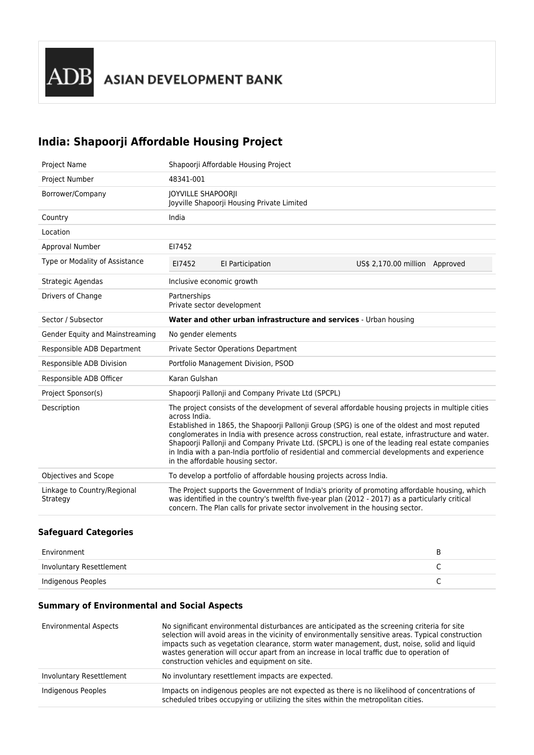## **India: Shapoorji Affordable Housing Project**

| <b>Project Name</b>                     | Shapoorji Affordable Housing Project                                                                                                                                                                                                                                                                                                                                                                                                                                                                                                                             |                                                                                                                                                                                                                                                                                    |                                |  |
|-----------------------------------------|------------------------------------------------------------------------------------------------------------------------------------------------------------------------------------------------------------------------------------------------------------------------------------------------------------------------------------------------------------------------------------------------------------------------------------------------------------------------------------------------------------------------------------------------------------------|------------------------------------------------------------------------------------------------------------------------------------------------------------------------------------------------------------------------------------------------------------------------------------|--------------------------------|--|
| Project Number                          | 48341-001                                                                                                                                                                                                                                                                                                                                                                                                                                                                                                                                                        |                                                                                                                                                                                                                                                                                    |                                |  |
| Borrower/Company                        | <b>JOYVILLE SHAPOORII</b>                                                                                                                                                                                                                                                                                                                                                                                                                                                                                                                                        | Joyville Shapoorji Housing Private Limited                                                                                                                                                                                                                                         |                                |  |
| Country                                 | India                                                                                                                                                                                                                                                                                                                                                                                                                                                                                                                                                            |                                                                                                                                                                                                                                                                                    |                                |  |
| Location                                |                                                                                                                                                                                                                                                                                                                                                                                                                                                                                                                                                                  |                                                                                                                                                                                                                                                                                    |                                |  |
| Approval Number                         | EI7452                                                                                                                                                                                                                                                                                                                                                                                                                                                                                                                                                           |                                                                                                                                                                                                                                                                                    |                                |  |
| Type or Modality of Assistance          | EI7452                                                                                                                                                                                                                                                                                                                                                                                                                                                                                                                                                           | El Participation                                                                                                                                                                                                                                                                   | US\$ 2,170.00 million Approved |  |
| Strategic Agendas                       | Inclusive economic growth                                                                                                                                                                                                                                                                                                                                                                                                                                                                                                                                        |                                                                                                                                                                                                                                                                                    |                                |  |
| Drivers of Change                       | Partnerships<br>Private sector development                                                                                                                                                                                                                                                                                                                                                                                                                                                                                                                       |                                                                                                                                                                                                                                                                                    |                                |  |
| Sector / Subsector                      |                                                                                                                                                                                                                                                                                                                                                                                                                                                                                                                                                                  | Water and other urban infrastructure and services - Urban housing                                                                                                                                                                                                                  |                                |  |
| Gender Equity and Mainstreaming         | No gender elements                                                                                                                                                                                                                                                                                                                                                                                                                                                                                                                                               |                                                                                                                                                                                                                                                                                    |                                |  |
| Responsible ADB Department              |                                                                                                                                                                                                                                                                                                                                                                                                                                                                                                                                                                  | Private Sector Operations Department                                                                                                                                                                                                                                               |                                |  |
| Responsible ADB Division                |                                                                                                                                                                                                                                                                                                                                                                                                                                                                                                                                                                  | Portfolio Management Division, PSOD                                                                                                                                                                                                                                                |                                |  |
| Responsible ADB Officer                 | Karan Gulshan                                                                                                                                                                                                                                                                                                                                                                                                                                                                                                                                                    |                                                                                                                                                                                                                                                                                    |                                |  |
| Project Sponsor(s)                      |                                                                                                                                                                                                                                                                                                                                                                                                                                                                                                                                                                  | Shapoorji Pallonji and Company Private Ltd (SPCPL)                                                                                                                                                                                                                                 |                                |  |
| Description                             | The project consists of the development of several affordable housing projects in multiple cities<br>across India.<br>Established in 1865, the Shapoorji Pallonji Group (SPG) is one of the oldest and most reputed<br>conglomerates in India with presence across construction, real estate, infrastructure and water.<br>Shapoorji Pallonji and Company Private Ltd. (SPCPL) is one of the leading real estate companies<br>in India with a pan-India portfolio of residential and commercial developments and experience<br>in the affordable housing sector. |                                                                                                                                                                                                                                                                                    |                                |  |
| Objectives and Scope                    |                                                                                                                                                                                                                                                                                                                                                                                                                                                                                                                                                                  | To develop a portfolio of affordable housing projects across India.                                                                                                                                                                                                                |                                |  |
| Linkage to Country/Regional<br>Strategy |                                                                                                                                                                                                                                                                                                                                                                                                                                                                                                                                                                  | The Project supports the Government of India's priority of promoting affordable housing, which<br>was identified in the country's twelfth five-year plan (2012 - 2017) as a particularly critical<br>concern. The Plan calls for private sector involvement in the housing sector. |                                |  |

## **Safeguard Categories**

| Environment              |  |
|--------------------------|--|
| Involuntary Resettlement |  |
| Indigenous Peoples       |  |

## **Summary of Environmental and Social Aspects**

| <b>Environmental Aspects</b> | No significant environmental disturbances are anticipated as the screening criteria for site<br>selection will avoid areas in the vicinity of environmentally sensitive areas. Typical construction<br>impacts such as vegetation clearance, storm water management, dust, noise, solid and liguid<br>wastes generation will occur apart from an increase in local traffic due to operation of<br>construction vehicles and equipment on site. |
|------------------------------|------------------------------------------------------------------------------------------------------------------------------------------------------------------------------------------------------------------------------------------------------------------------------------------------------------------------------------------------------------------------------------------------------------------------------------------------|
| Involuntary Resettlement     | No involuntary resettlement impacts are expected.                                                                                                                                                                                                                                                                                                                                                                                              |
| Indigenous Peoples           | Impacts on indigenous peoples are not expected as there is no likelihood of concentrations of<br>scheduled tribes occupying or utilizing the sites within the metropolitan cities.                                                                                                                                                                                                                                                             |